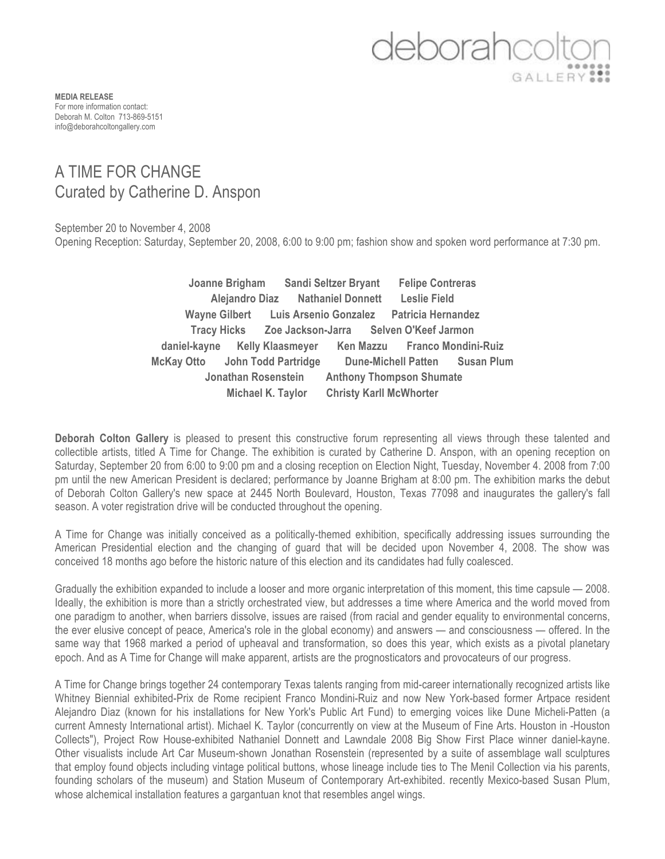## deborahco

**MEDIA RELEASE** For more information contact: Deborah M. Colton 713-869-5151 info@deborahcoltongallery.com

## A TIME FOR CHANGE Curated by Catherine D. Anspon

September 20 to November 4, 2008 Opening Reception: Saturday, September 20, 2008, 6:00 to 9:00 pm; fashion show and spoken word performance at 7:30 pm.

> **Joanne Brigham Sandi Seltzer Bryant Felipe Contreras Alejandro Diaz Nathaniel Donnett Leslie Field Wayne Gilbert Luis Arsenio Gonzalez Patricia Hernandez Tracy Hicks Zoe Jackson-Jarra Selven O'Keef Jarmon daniel-kayne Kelly Klaasmeyer Ken Mazzu Franco Mondini-Ruiz McKay Otto John Todd Partridge Dune-Michell Patten Susan Plum Jonathan Rosenstein Anthony Thompson Shumate Michael K. Taylor Christy Karll McWhorter**

**Deborah Colton Gallery** is pleased to present this constructive forum representing all views through these talented and collectible artists, titled A Time for Change. The exhibition is curated by Catherine D. Anspon, with an opening reception on Saturday, September 20 from 6:00 to 9:00 pm and a closing reception on Election Night, Tuesday, November 4. 2008 from 7:00 pm until the new American President is declared; performance by Joanne Brigham at 8:00 pm. The exhibition marks the debut of Deborah Colton Gallery's new space at 2445 North Boulevard, Houston, Texas 77098 and inaugurates the gallery's fall season. A voter registration drive will be conducted throughout the opening.

A Time for Change was initially conceived as a politically-themed exhibition, specifically addressing issues surrounding the American Presidential election and the changing of guard that will be decided upon November 4, 2008. The show was conceived 18 months ago before the historic nature of this election and its candidates had fully coalesced.

Gradually the exhibition expanded to include a looser and more organic interpretation of this moment, this time capsule — 2008. Ideally, the exhibition is more than a strictly orchestrated view, but addresses a time where America and the world moved from one paradigm to another, when barriers dissolve, issues are raised (from racial and gender equality to environmental concerns, the ever elusive concept of peace, America's role in the global economy) and answers — and consciousness — offered. In the same way that 1968 marked a period of upheaval and transformation, so does this year, which exists as a pivotal planetary epoch. And as A Time for Change will make apparent, artists are the prognosticators and provocateurs of our progress.

A Time for Change brings together 24 contemporary Texas talents ranging from mid-career internationally recognized artists like Whitney Biennial exhibited-Prix de Rome recipient Franco Mondini-Ruiz and now New York-based former Artpace resident Alejandro Diaz (known for his installations for New York's Public Art Fund) to emerging voices like Dune Micheli-Patten (a current Amnesty International artist). Michael K. Taylor (concurrently on view at the Museum of Fine Arts. Houston in -Houston Collects"), Project Row House-exhibited Nathaniel Donnett and Lawndale 2008 Big Show First Place winner daniel-kayne. Other visualists include Art Car Museum-shown Jonathan Rosenstein (represented by a suite of assemblage wall sculptures that employ found objects including vintage political buttons, whose lineage include ties to The Menil Collection via his parents, founding scholars of the museum) and Station Museum of Contemporary Art-exhibited. recently Mexico-based Susan Plum, whose alchemical installation features a gargantuan knot that resembles angel wings.